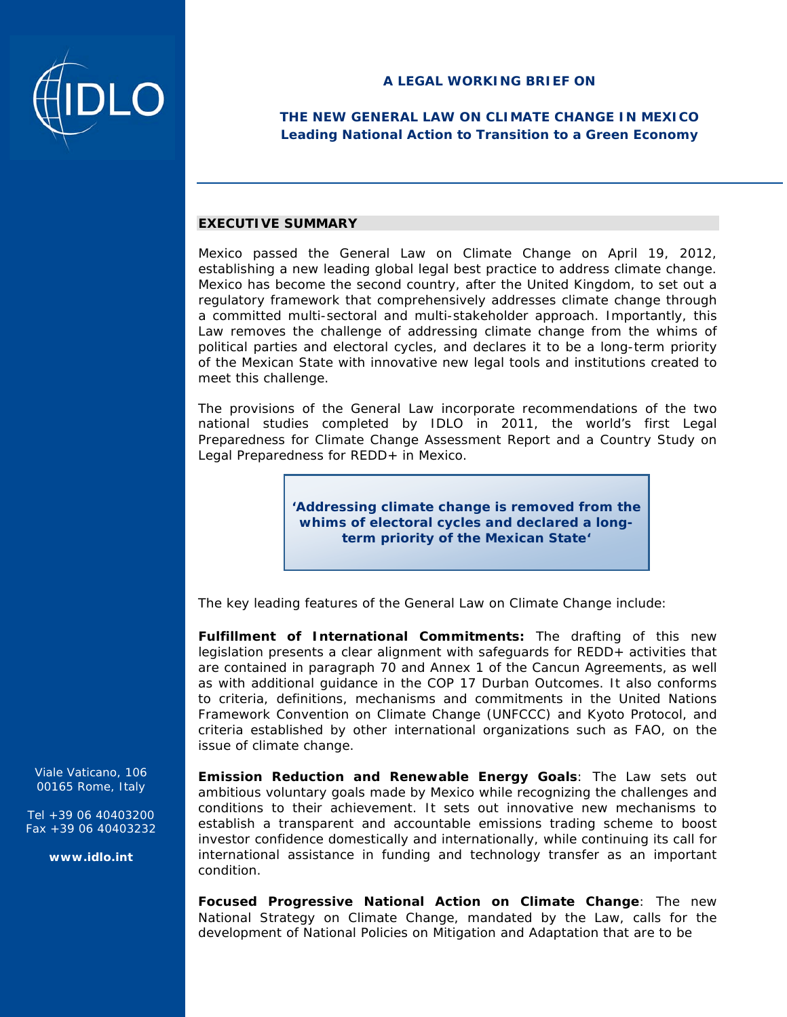

# **THE NEW GENERAL LAW ON CLIMATE CHANGE IN MEXICO Leading National Action to Transition to a Green Economy**

### **EXECUTIVE SUMMARY**

Mexico passed the General Law on Climate Change on April 19, 2012, establishing a new leading global legal best practice to address climate change. Mexico has become the second country, after the United Kingdom, to set out a regulatory framework that comprehensively addresses climate change through a committed multi-sectoral and multi-stakeholder approach. Importantly, this Law removes the challenge of addressing climate change from the whims of political parties and electoral cycles, and declares it to be a long-term priority of the Mexican State with innovative new legal tools and institutions created to meet this challenge.

The provisions of the General Law incorporate recommendations of the two national studies completed by IDLO in 2011, the world's first Legal Preparedness for Climate Change Assessment Report and a Country Study on Legal Preparedness for REDD+ in Mexico.

> **'Addressing climate change is removed from the whims of electoral cycles and declared a longterm priority of the Mexican State'**

The key leading features of the General Law on Climate Change include:

*Fulfillment of International Commitments:* The drafting of this new legislation presents a clear alignment with safeguards for *REDD+ activities* that are contained in paragraph 70 and Annex 1 of the *Cancun Agreements*, as well as with additional guidance in the COP 17 Durban Outcomes. It also conforms to criteria, definitions, mechanisms and commitments in the United Nations Framework Convention on Climate Change (UNFCCC) and Kyoto Protocol, and criteria established by other international organizations such as FAO, on the issue of climate change.

*Emission Reduction and Renewable Energy Goals*: The Law sets out ambitious voluntary goals made by Mexico while recognizing the challenges and conditions to their achievement. It sets out innovative new mechanisms to establish a transparent and accountable emissions trading scheme to boost investor confidence domestically and internationally, while continuing its call for international assistance in funding and technology transfer as an important condition.

*Focused Progressive National Action on Climate Change:* The new National Strategy on Climate Change, mandated by the Law, calls for the development of National Policies on Mitigation and Adaptation that are to be

Viale Vaticano, 106 00165 Rome, Italy

Tel +39 06 40403200 Fax +39 06 40403232

**www.idlo.int**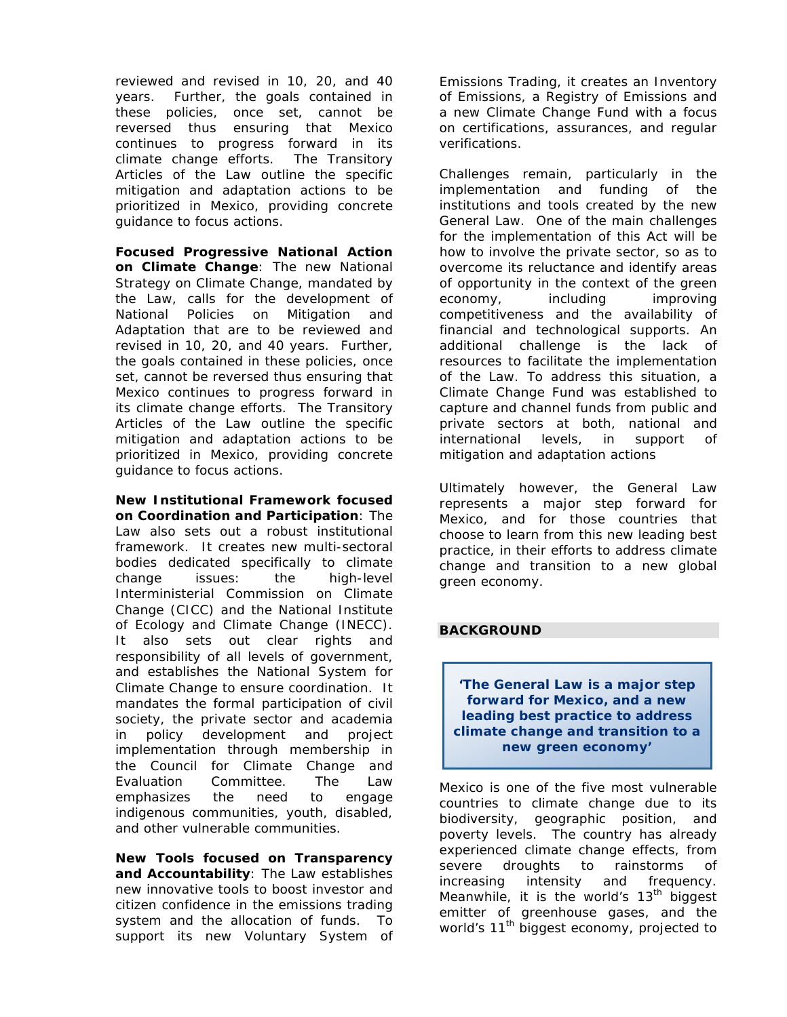reviewed and revised in 10, 20, and 40 years. Further, the goals contained in these policies, once set, cannot be reversed thus ensuring that Mexico continues to progress forward in its climate change efforts. The Transitory Articles of the Law outline the specific mitigation and adaptation actions to be prioritized in Mexico, providing concrete guidance to focus actions.

*Focused Progressive National Action on Climate Change:* The new National Strategy on Climate Change, mandated by the Law, calls for the development of National Policies on Mitigation and Adaptation that are to be reviewed and revised in 10, 20, and 40 years. Further, the goals contained in these policies, once set, cannot be reversed thus ensuring that Mexico continues to progress forward in its climate change efforts. The Transitory Articles of the Law outline the specific mitigation and adaptation actions to be prioritized in Mexico, providing concrete guidance to focus actions.

*New Institutional Framework focused on Coordination and Participation*: The Law also sets out a robust institutional framework. It creates new multi-sectoral bodies dedicated specifically to climate change issues: the high-level Interministerial Commission on Climate Change (CICC) and the National Institute of Ecology and Climate Change (INECC). It also sets out clear rights and responsibility of all levels of government, and establishes the National System for Climate Change to ensure coordination. It mandates the formal participation of civil society, the private sector and academia in policy development and project implementation through membership in the Council for Climate Change and Evaluation Committee. The Law emphasizes the need to engage indigenous communities, youth, disabled, and other vulnerable communities.

*New Tools focused on Transparency and Accountability*: The Law establishes new innovative tools to boost investor and citizen confidence in the emissions trading system and the allocation of funds. To support its new Voluntary System of

Emissions Trading, it creates an Inventory of Emissions, a Registry of Emissions and a new Climate Change Fund with a focus on certifications, assurances, and regular verifications.

Challenges remain, particularly in the implementation and funding of the institutions and tools created by the new General Law. One of the main challenges for the implementation of this Act will be how to involve the private sector, so as to overcome its reluctance and identify areas of opportunity in the context of the green economy, including improving competitiveness and the availability of financial and technological supports. An additional challenge is the lack of resources to facilitate the implementation of the Law. To address this situation, a *Climate Change Fund* was established to capture and channel funds from public and private sectors at both, national and international levels, in support of mitigation and adaptation actions

Ultimately however, the General Law represents a major step forward for Mexico, and for those countries that choose to learn from this new leading best practice, in their efforts to address climate change and transition to a new global green economy.

# **BACKGROUND**

**'The General Law is a major step forward for Mexico, and a new leading best practice to address climate change and transition to a new green economy'**

Mexico is one of the five most vulnerable countries to climate change due to its biodiversity, geographic position, and poverty levels. The country has already experienced climate change effects, from severe droughts to rainstorms of increasing intensity and frequency. Meanwhile, it is the world's  $13<sup>th</sup>$  biggest emitter of greenhouse gases, and the world's 11<sup>th</sup> biggest economy, projected to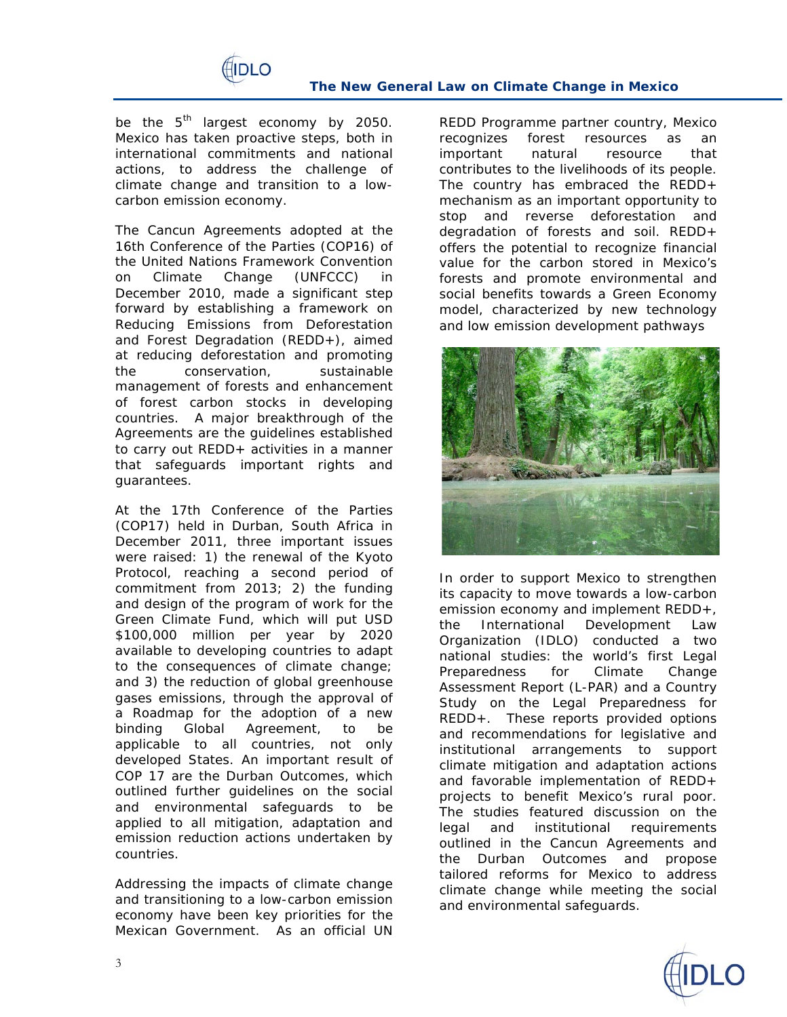

be the  $5<sup>th</sup>$  largest economy by 2050. Mexico has taken proactive steps, both in international commitments and national actions, to address the challenge of climate change and transition to a lowcarbon emission economy.

The *Cancun Agreements* adopted at the 16th Conference of the Parties (COP16) of the United Nations Framework Convention on Climate Change (UNFCCC) in December 2010, made a significant step forward by establishing a framework on Reducing Emissions from Deforestation and Forest Degradation (REDD+), aimed at reducing deforestation and promoting the conservation, sustainable management of forests and enhancement of forest carbon stocks in developing countries. A major breakthrough of the Agreements are the guidelines established to carry out REDD+ activities in a manner that safeguards important rights and guarantees.

At the 17th Conference of the Parties (COP17) held in Durban, South Africa in December 2011, three important issues were raised: 1) the renewal of the Kyoto Protocol, reaching a second period of commitment from 2013; 2) the funding and design of the program of work for the Green Climate Fund, which will put USD \$100,000 million per year by 2020 available to developing countries to adapt to the consequences of climate change; and 3) the reduction of global greenhouse gases emissions, through the approval of a Roadmap for the adoption of a new binding Global Agreement, to be applicable to all countries, not only developed States. An important result of COP 17 are the Durban Outcomes, which outlined further guidelines on the social and environmental safeguards to be applied to all mitigation, adaptation and emission reduction actions undertaken by countries.

Addressing the impacts of climate change and transitioning to a low-carbon emission economy have been key priorities for the Mexican Government. As an official UN

REDD Programme partner country, Mexico recognizes forest resources as an important natural resource that contributes to the livelihoods of its people. The country has embraced the REDD+ mechanism as an important opportunity to stop and reverse deforestation and degradation of forests and soil. REDD+ offers the potential to recognize financial value for the carbon stored in Mexico's forests and promote environmental and social benefits towards a Green Economy model, characterized by new technology and low emission development pathways



In order to support Mexico to strengthen its capacity to move towards a low-carbon emission economy and implement REDD+, the International Development Law Organization (IDLO) conducted a two national studies: the world's first Legal Preparedness for Climate Change Assessment Report (L-PAR) and a Country Study on the Legal Preparedness for REDD+. These reports provided options and recommendations for legislative and institutional arrangements to support climate mitigation and adaptation actions and favorable implementation of REDD+ projects to benefit Mexico's rural poor. The studies featured discussion on the legal and institutional requirements outlined in the Cancun Agreements and the Durban Outcomes and propose tailored reforms for Mexico to address climate change while meeting the social and environmental safeguards.

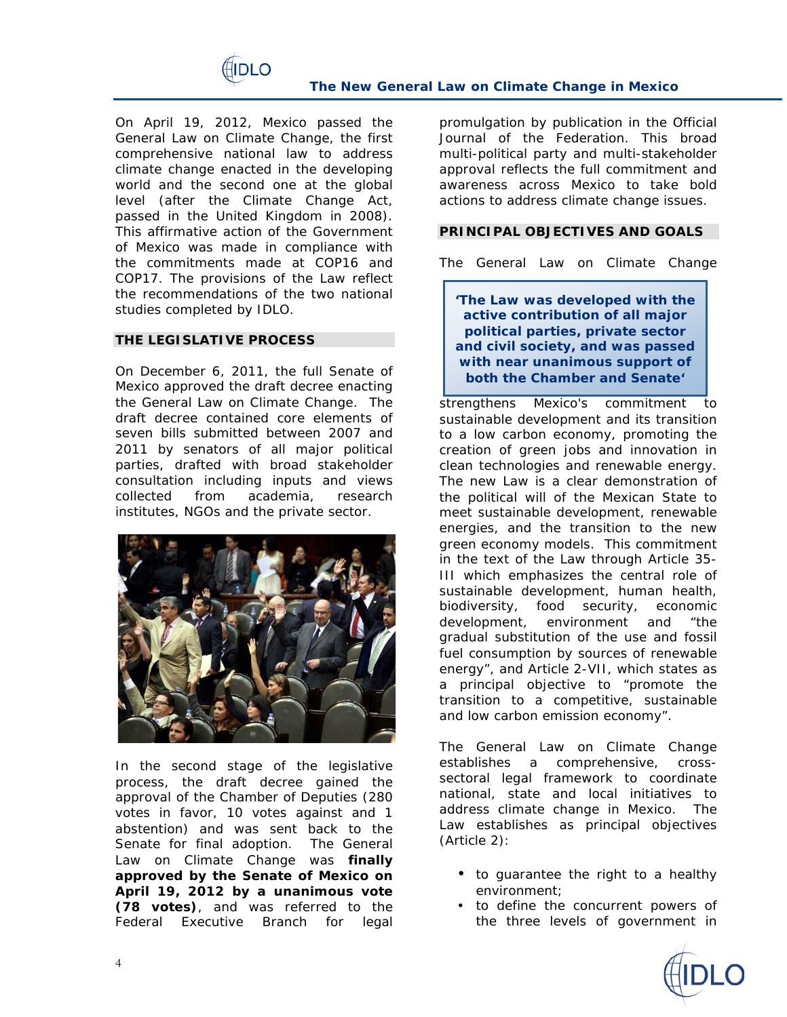

On April 19, 2012, Mexico passed the General Law on Climate Change, the first comprehensive national law to address climate change enacted in the developing world and the second one at the global level (after the *Climate Change Act*, passed in the United Kingdom in 2008). This affirmative action of the Government of Mexico was made in compliance with the commitments made at COP16 and COP17. The provisions of the Law reflect the recommendations of the two national studies completed by IDLO.

### **THE LEGISLATIVE PROCESS**

On December 6, 2011, the full Senate of Mexico approved the draft decree enacting the General Law on Climate Change. The draft decree contained core elements of seven bills submitted between 2007 and 2011 by senators of all major political parties, drafted with broad stakeholder consultation including inputs and views collected from academia, research institutes, NGOs and the private sector.



In the second stage of the legislative process, the draft decree gained the approval of the Chamber of Deputies (280 votes in favor, 10 votes against and 1 abstention) and was sent back to the Senate for final adoption. The General Law on Climate Change was **finally approved by the Senate of Mexico on April 19, 2012 by a unanimous vote (78 votes)**, and was referred to the Federal Executive Branch for legal

promulgation by publication in the Official Journal of the Federation. This broad multi-political party and multi-stakeholder approval reflects the full commitment and awareness across Mexico to take bold actions to address climate change issues.

#### **PRINCIPAL OBJECTIVES AND GOALS**

The General Law on Climate Change

**'The Law was developed with the active contribution of all major political parties, private sector and civil society, and was passed with near unanimous support of both the Chamber and Senate'**

strengthens Mexico's commitment to sustainable development and its transition to a low carbon economy, promoting the creation of green jobs and innovation in clean technologies and renewable energy. The new Law is a clear demonstration of the political will of the Mexican State to meet sustainable development, renewable energies, and the transition to the new green economy models. This commitment in the text of the Law through Article 35- III which emphasizes the central role of sustainable development, human health, biodiversity, food security, economic development, environment and "*the gradual substitution of the use and fossil fuel consumption by sources of renewable energy"*, and Article 2-VII, which states as a principal objective to "*promote the transition to a competitive, sustainable and low carbon emission economy".*

The General Law on Climate Change establishes a comprehensive, crosssectoral legal framework to coordinate national, state and local initiatives to address climate change in Mexico. The Law establishes as principal objectives (Article 2):

- to guarantee the right to a healthy environment;
- to define the concurrent powers of the three levels of government in

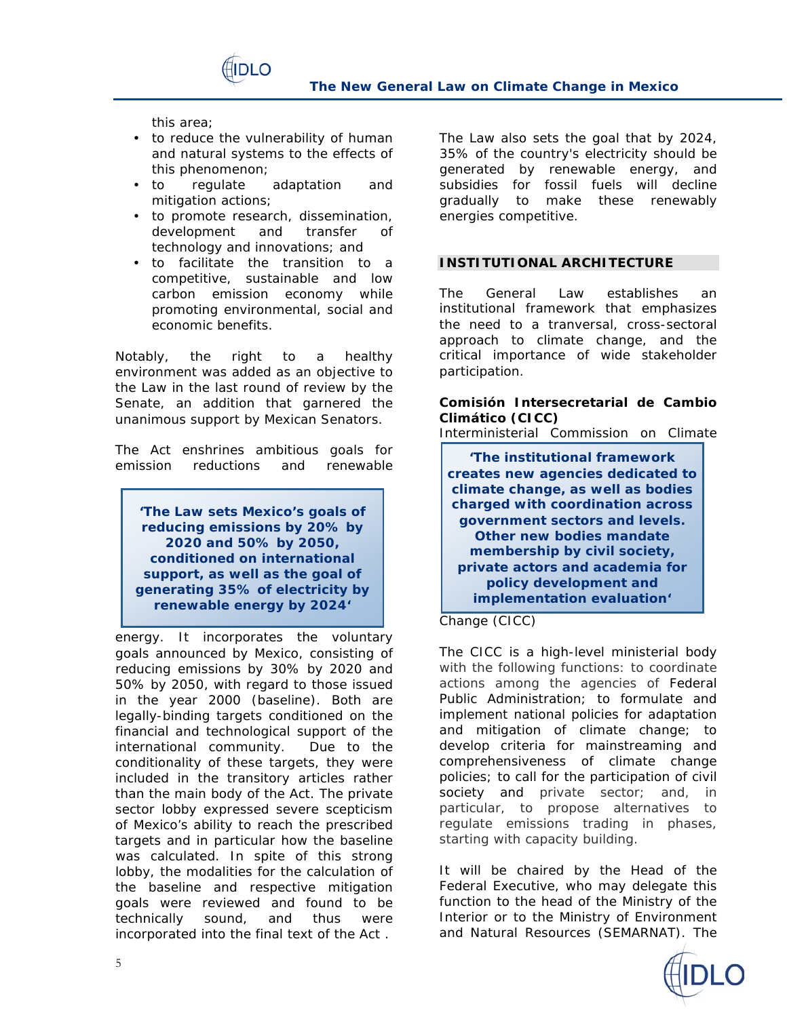

this area;

• to reduce the vulnerability of human and natural systems to the effects of this phenomenon;

**IDLO** 

- to regulate adaptation and mitigation actions;
- to promote research, dissemination, development and transfer of technology and innovations; and
- to facilitate the transition to a competitive, sustainable and low carbon emission economy while promoting environmental, social and economic benefits.

Notably, the right to a healthy environment was added as an objective to the Law in the last round of review by the Senate, an addition that garnered the unanimous support by Mexican Senators.

The Act enshrines ambitious goals for emission reductions and renewable

**'The Law sets Mexico's goals of reducing emissions by 20% by 2020 and 50% by 2050, conditioned on international support, as well as the goal of generating 35% of electricity by renewable energy by 2024'**

energy. It incorporates the voluntary goals announced by Mexico, consisting of reducing emissions by 30% by 2020 and 50% by 2050, with regard to those issued in the year 2000 (baseline). Both are legally-binding targets conditioned on the financial and technological support of the international community. Due to the conditionality of these targets, they were included in the transitory articles rather than the main body of the Act. The private sector lobby expressed severe scepticism of Mexico's ability to reach the prescribed targets and in particular how the baseline was calculated. In spite of this strong lobby, the modalities for the calculation of the baseline and respective mitigation goals were reviewed and found to be technically sound, and thus were incorporated into the final text of the Act .

The Law also sets the goal that by 2024, 35% of the country's electricity should be generated by renewable energy, and subsidies for fossil fuels will decline gradually to make these renewably energies competitive.

# **INSTITUTIONAL ARCHITECTURE**

The General Law establishes an institutional framework that emphasizes the need to a tranversal, cross-sectoral approach to climate change, and the critical importance of wide stakeholder participation.

**Comisión Intersecretarial de Cambio Climático (CICC)**

Interministerial Commission on Climate

**'The institutional framework creates new agencies dedicated to climate change, as well as bodies charged with coordination across government sectors and levels. Other new bodies mandate membership by civil society, private actors and academia for policy development and implementation evaluation'**

Change (CICC)

The CICC is a high-level ministerial body with the following functions: to coordinate actions among the agencies of Federal Public Administration; to formulate and implement national policies for adaptation and mitigation of climate change; to develop criteria for mainstreaming and comprehensiveness of climate change policies; to call for the participation of civil society and private sector; and, in particular, to propose alternatives to regulate emissions trading in phases, starting with capacity building.

It will be chaired by the Head of the Federal Executive, who may delegate this function to the head of the Ministry of the Interior or to the Ministry of Environment and Natural Resources (SEMARNAT). The

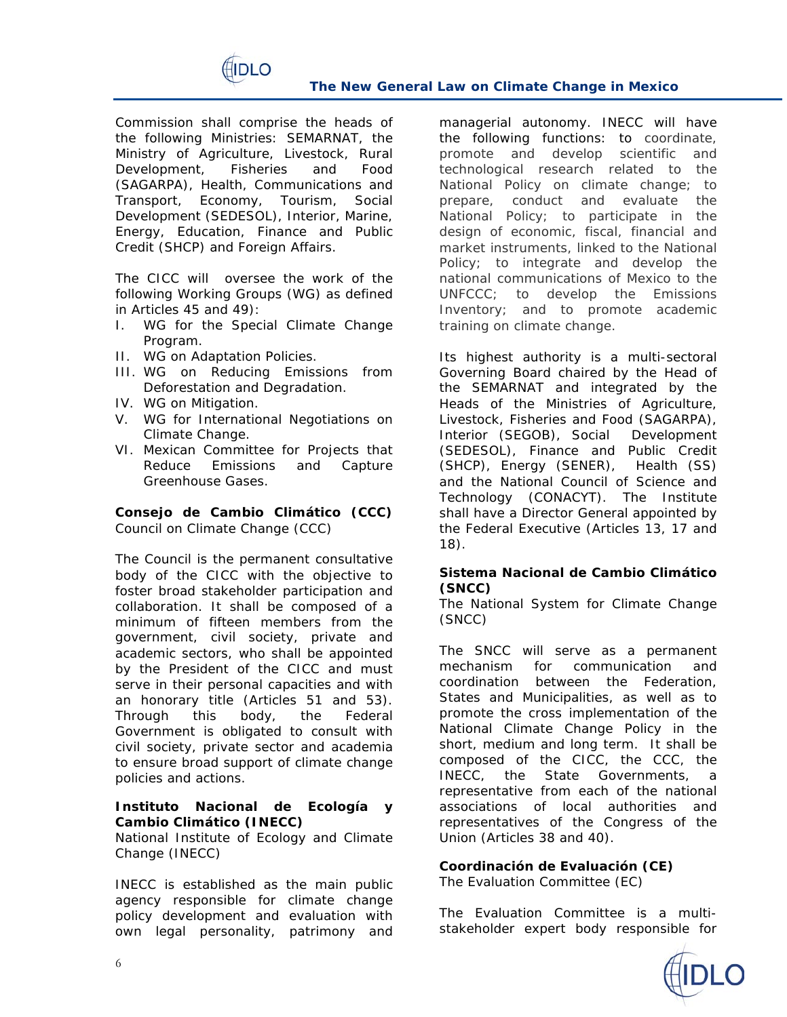

Commission shall comprise the heads of the following Ministries: SEMARNAT, the Ministry of Agriculture, Livestock, Rural Development, Fisheries and Food (SAGARPA), Health, Communications and Transport, Economy, Tourism, Social Development (SEDESOL), Interior, Marine, Energy, Education, Finance and Public Credit (SHCP) and Foreign Affairs.

The CICC will oversee the work of the following Working Groups (WG) as defined in Articles 45 and 49):

- I. WG for the Special Climate Change Program.
- II. WG on Adaptation Policies.
- III. WG on Reducing Emissions from Deforestation and Degradation.
- IV. WG on Mitigation.
- V. WG for International Negotiations on Climate Change.
- VI. Mexican Committee for Projects that Reduce Emissions and Capture Greenhouse Gases.

**Consejo de Cambio Climático (CCC)** Council on Climate Change (CCC)

The Council is the permanent consultative body of the CICC with the objective to foster broad stakeholder participation and collaboration. It shall be composed of a minimum of fifteen members from the government, civil society, private and academic sectors, who shall be appointed by the President of the CICC and must serve in their personal capacities and with an honorary title (Articles 51 and 53). Through this body, the Federal Government is obligated to consult with civil society, private sector and academia to ensure broad support of climate change policies and actions.

**Instituto Nacional de Ecología y Cambio Climático (INECC)**

National Institute of Ecology and Climate Change (INECC)

INECC is established as the main public agency responsible for climate change policy development and evaluation with own legal personality, patrimony and managerial autonomy. INECC will have the following functions: to coordinate, promote and develop scientific and technological research related to the National Policy on climate change; to prepare, conduct and evaluate the National Policy; to participate in the design of economic, fiscal, financial and market instruments, linked to the National Policy; to integrate and develop the national communications of Mexico to the UNFCCC; to develop the Emissions Inventory; and to promote academic training on climate change.

Its highest authority is a multi-sectoral Governing Board chaired by the Head of the SEMARNAT and integrated by the Heads of the Ministries of Agriculture, Livestock, Fisheries and Food (SAGARPA), Interior (SEGOB), Social Development (SEDESOL), Finance and Public Credit (SHCP), Energy (SENER), Health (SS) and the National Council of Science and Technology (CONACYT). The Institute shall have a Director General appointed by the Federal Executive (Articles 13, 17 and 18).

**Sistema Nacional de Cambio Climático (SNCC)**

The National System for Climate Change (SNCC)

The SNCC will serve as a permanent mechanism for communication and coordination between the Federation, States and Municipalities, as well as to promote the cross implementation of the National Climate Change Policy in the short, medium and long term. It shall be composed of the CICC, the CCC, the INECC, the State Governments, a representative from each of the national associations of local authorities and representatives of the Congress of the Union (Articles 38 and 40).

**Coordinación de Evaluación (CE)** The Evaluation Committee (EC)

The Evaluation Committee is a multistakeholder expert body responsible for

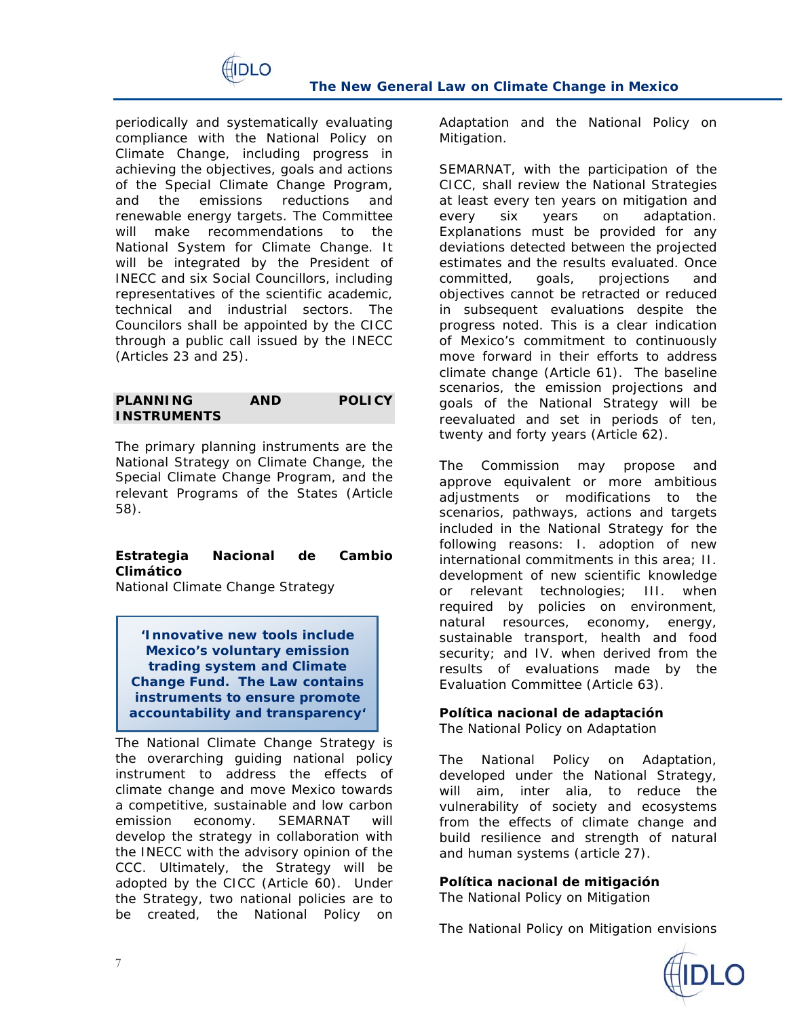

periodically and systematically evaluating compliance with the National Policy on Climate Change, including progress in achieving the objectives, goals and actions of the Special Climate Change Program, and the emissions reductions and renewable energy targets. The Committee will make recommendations to the National System for Climate Change. It will be integrated by the President of INECC and six Social Councillors, including representatives of the scientific academic, technical and industrial sectors. The Councilors shall be appointed by the CICC through a public call issued by the INECC (Articles 23 and 25).

**PLANNING AND POLICY INSTRUMENTS**

The primary planning instruments are the National Strategy on Climate Change, the Special Climate Change Program, and the relevant Programs of the States (Article 58).

**Estrategia Nacional de Cambio Climático** National Climate Change Strategy

**'Innovative new tools include Mexico's voluntary emission trading system and Climate Change Fund. The Law contains instruments to ensure promote accountability and transparency'**

The National Climate Change Strategy is the overarching guiding national policy instrument to address the effects of climate change and move Mexico towards a competitive, sustainable and low carbon emission economy. SEMARNAT will develop the strategy in collaboration with the INECC with the advisory opinion of the CCC. Ultimately, the Strategy will be adopted by the CICC (Article 60). Under the Strategy, two national policies are to be created, the National Policy on Adaptation and the National Policy on Mitigation.

SEMARNAT, with the participation of the CICC, shall review the National Strategies at least every ten years on mitigation and every six years on adaptation. Explanations must be provided for any deviations detected between the projected estimates and the results evaluated. Once committed, goals, projections and objectives cannot be retracted or reduced in subsequent evaluations despite the progress noted. This is a clear indication of Mexico's commitment to continuously move forward in their efforts to address climate change (Article 61). The baseline scenarios, the emission projections and goals of the National Strategy will be reevaluated and set in periods of ten, twenty and forty years (Article 62).

The Commission may propose and approve equivalent or more ambitious adjustments or modifications to the scenarios, pathways, actions and targets included in the National Strategy for the following reasons: I. adoption of new international commitments in this area; II. development of new scientific knowledge or relevant technologies; III. when required by policies on environment, natural resources, economy, energy, sustainable transport, health and food security; and IV. when derived from the results of evaluations made by the Evaluation Committee (Article 63).

**Política nacional de adaptación** The National Policy on Adaptation

The National Policy on Adaptation, developed under the National Strategy, will aim, *inter alia*, to reduce the vulnerability of society and ecosystems from the effects of climate change and build resilience and strength of natural and human systems (article 27).

**Política nacional de mitigación** The National Policy on Mitigation

The National Policy on Mitigation envisions

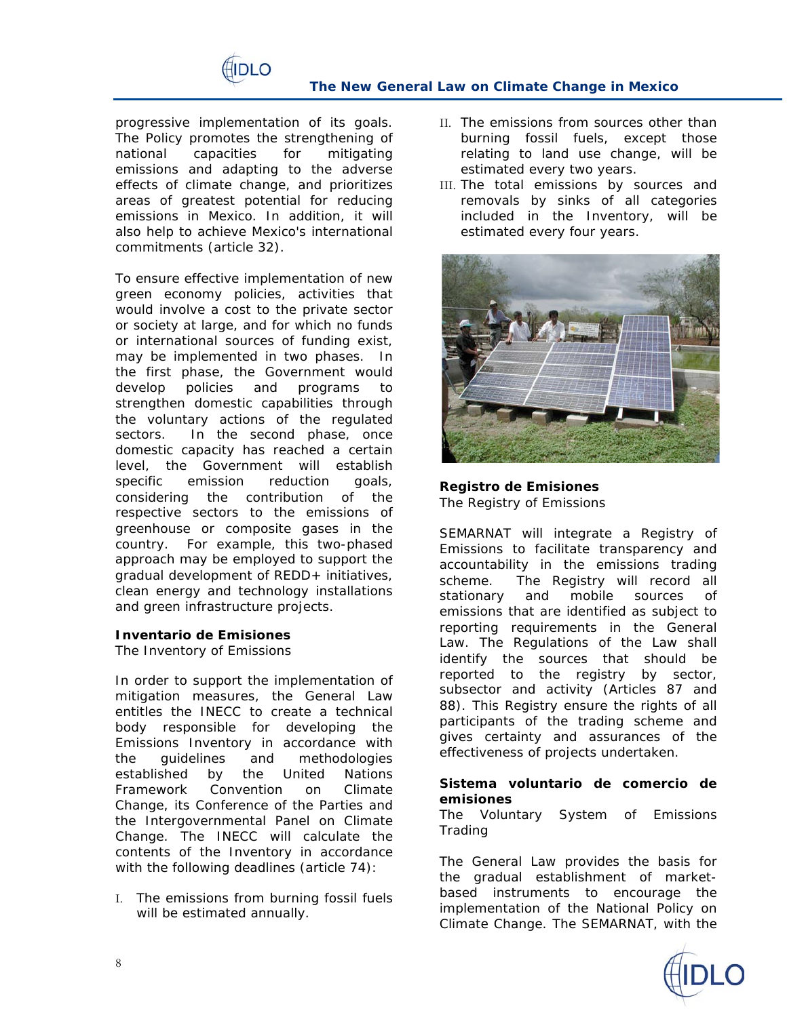

progressive implementation of its goals. The Policy promotes the strengthening of national capacities for mitigating emissions and adapting to the adverse effects of climate change, and prioritizes areas of greatest potential for reducing emissions in Mexico. In addition, it will also help to achieve Mexico's international commitments (article 32).

To ensure effective implementation of new green economy policies, activities that would involve a cost to the private sector or society at large, and for which no funds or international sources of funding exist, may be implemented in two phases. In the first phase, the Government would develop policies and programs to strengthen domestic capabilities through the voluntary actions of the regulated sectors. In the second phase, once domestic capacity has reached a certain level, the Government will establish specific emission reduction goals, considering the contribution of the respective sectors to the emissions of greenhouse or composite gases in the country. For example, this two-phased approach may be employed to support the gradual development of REDD+ initiatives, clean energy and technology installations and green infrastructure projects.

**Inventario de Emisiones** The Inventory of Emissions

In order to support the implementation of mitigation measures, the General Law entitles the INECC to create a technical body responsible for developing the Emissions Inventory in accordance with the guidelines and methodologies established by the United Nations Framework Convention on Climate Change, its Conference of the Parties and the Intergovernmental Panel on Climate Change. The INECC will calculate the contents of the Inventory in accordance with the following deadlines (article 74):

I. The emissions from burning fossil fuels will be estimated annually.

- II. The emissions from sources other than burning fossil fuels, except those relating to land use change, will be estimated every two years.
- III. The total emissions by sources and removals by sinks of all categories included in the Inventory, will be estimated every four years.



**Registro de Emisiones** The Registry of Emissions

SEMARNAT will integrate a Registry of Emissions to facilitate transparency and accountability in the emissions trading scheme. The Registry will record all stationary and mobile sources of emissions that are identified as subject to reporting requirements in the General Law. The Regulations of the Law shall identify the sources that should be reported to the registry by sector, subsector and activity (Articles 87 and 88). This Registry ensure the rights of all participants of the trading scheme and gives certainty and assurances of the effectiveness of projects undertaken.

**Sistema voluntario de comercio de emisiones** The Voluntary System of Emissions Trading

The General Law provides the basis for the gradual establishment of marketbased instruments to encourage the implementation of the National Policy on Climate Change. The SEMARNAT, with the

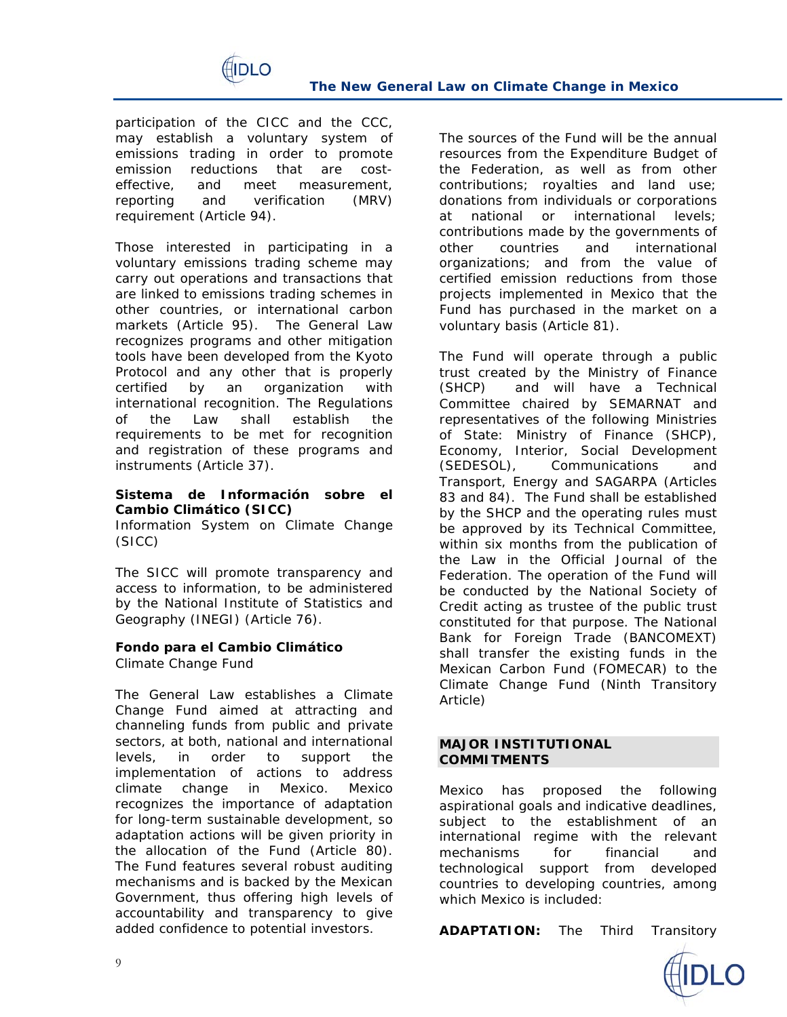

participation of the CICC and the CCC, may establish a voluntary system of emissions trading in order to promote emission reductions that are costeffective, and meet measurement, reporting and verification (MRV) requirement (Article 94).

Those interested in participating in a voluntary emissions trading scheme may carry out operations and transactions that are linked to emissions trading schemes in other countries, or international carbon markets (Article 95). The General Law recognizes programs and other mitigation tools have been developed from the Kyoto Protocol and any other that is properly certified by an organization with international recognition. The Regulations of the Law shall establish the requirements to be met for recognition and registration of these programs and instruments (Article 37).

**Sistema de Información sobre el Cambio Climático (SICC)**  Information System on Climate Change (SICC)

The SICC will promote transparency and access to information, to be administered by the National Institute of Statistics and Geography (INEGI) (Article 76).

**Fondo para el Cambio Climático** Climate Change Fund

The General Law establishes a Climate Change Fund aimed at attracting and channeling funds from public and private sectors, at both, national and international levels, in order to support the implementation of actions to address climate change in Mexico. Mexico recognizes the importance of adaptation for long-term sustainable development, so adaptation actions will be given priority in the allocation of the Fund (Article 80). The Fund features several robust auditing mechanisms and is backed by the Mexican Government, thus offering high levels of accountability and transparency to give added confidence to potential investors.

The sources of the Fund will be the annual resources from the Expenditure Budget of the Federation, as well as from other contributions; royalties and land use; donations from individuals or corporations at national or international levels; contributions made by the governments of other countries and international organizations; and from the value of certified emission reductions from those projects implemented in Mexico that the Fund has purchased in the market on a voluntary basis (Article 81).

The Fund will operate through a public trust created by the Ministry of Finance (SHCP) and will have a Technical Committee chaired by SEMARNAT and representatives of the following Ministries of State: Ministry of Finance (SHCP), Economy, Interior, Social Development (SEDESOL), Communications and Transport, Energy and SAGARPA (Articles 83 and 84). The Fund shall be established by the SHCP and the operating rules must be approved by its Technical Committee, within six months from the publication of the Law in the Official Journal of the Federation. The operation of the Fund will be conducted by the National Society of Credit acting as trustee of the public trust constituted for that purpose. The National Bank for Foreign Trade (BANCOMEXT) shall transfer the existing funds in the Mexican Carbon Fund (FOMECAR) to the Climate Change Fund (Ninth Transitory Article)

### **MAJOR INSTITUTIONAL COMMITMENTS**

Mexico has proposed the following *aspirational goals* and *indicative deadlines*, subject to the establishment of an international regime with the relevant mechanisms for financial and technological support from developed countries to developing countries, among which Mexico is included:

**ADAPTATION:** The Third Transitory

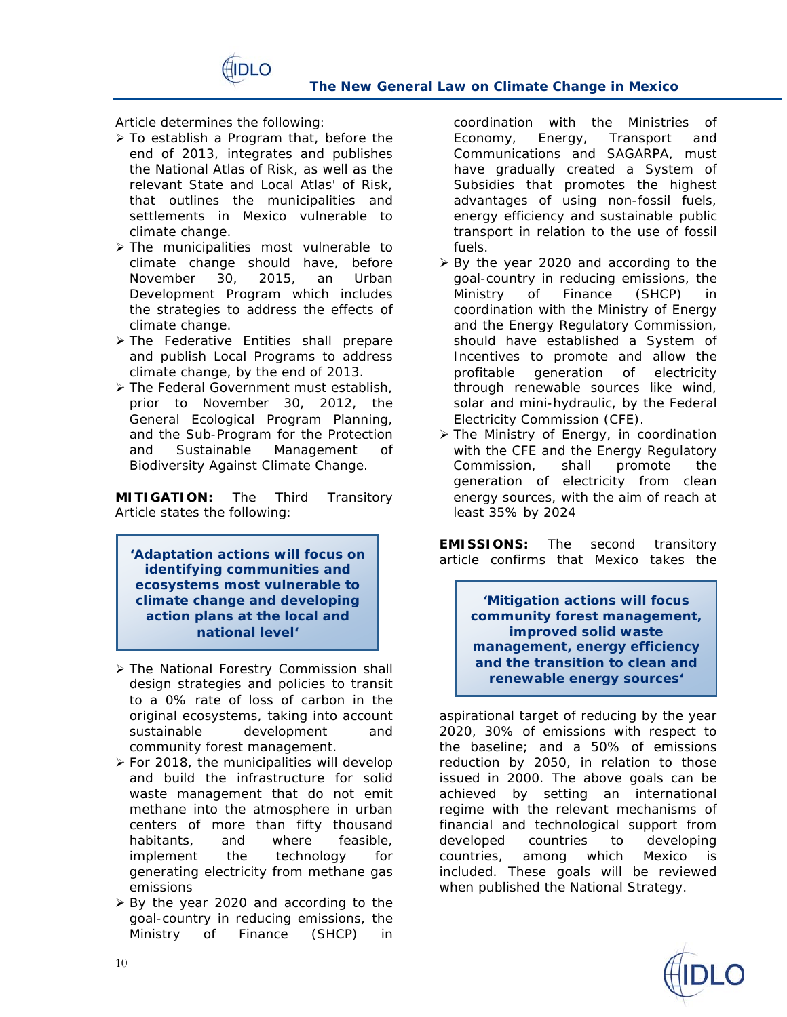

Article determines the following:

 To establish a Program that, before the end of 2013, integrates and publishes the National Atlas of Risk, as well as the relevant State and Local Atlas' of Risk, that outlines the municipalities and settlements in Mexico vulnerable to climate change.

∩ וחו∃

- > The municipalities most vulnerable to climate change should have, before November 30, 2015, an Urban Development Program which includes the strategies to address the effects of climate change.
- > The Federative Entities shall prepare and publish Local Programs to address climate change, by the end of 2013.
- > The Federal Government must establish, prior to November 30, 2012, the General Ecological Program Planning, and the Sub-Program for the Protection and Sustainable Management of Biodiversity Against Climate Change.

**MITIGATION:** The Third Transitory Article states the following:

**'Adaptation actions will focus on identifying communities and ecosystems most vulnerable to climate change and developing action plans at the local and national level'**

- The National Forestry Commission shall design strategies and policies to transit to a 0% rate of loss of carbon in the original ecosystems, taking into account sustainable development and community forest management.
- $\triangleright$  For 2018, the municipalities will develop and build the infrastructure for solid waste management that do not emit methane into the atmosphere in urban centers of more than fifty thousand habitants, and where feasible, implement the technology for generating electricity from methane gas emissions
- ▶ By the year 2020 and according to the goal-country in reducing emissions, the Ministry of Finance (SHCP) in

coordination with the Ministries of Economy, Energy, Transport and Communications and SAGARPA, must have gradually created a *System of Subsidies* that promotes the highest advantages of using non-fossil fuels, energy efficiency and sustainable public transport in relation to the use of fossil fuels.

- $\triangleright$  By the year 2020 and according to the goal-country in reducing emissions, the Ministry of Finance (SHCP) in coordination with the Ministry of Energy and the Energy Regulatory Commission, should have established a *System of Incentives* to promote and allow the profitable generation of electricity through renewable sources like wind, solar and mini-hydraulic, by the Federal Electricity Commission (CFE).
- The Ministry of Energy, in coordination with the CFE and the Energy Regulatory Commission, shall promote the generation of electricity from clean energy sources, with the aim of reach at least 35% by 2024

**EMISSIONS:** The second transitory article confirms that Mexico takes the

> **'Mitigation actions will focus community forest management, improved solid waste management, energy efficiency and the transition to clean and renewable energy sources'**

*aspirational* target of reducing by the year 2020, 30% of emissions with respect to the baseline; and a 50% of emissions reduction by 2050, in relation to those issued in 2000. The above goals can be achieved by setting an international regime with the relevant mechanisms of financial and technological support from developed countries to developing countries, among which Mexico is included. These goals will be reviewed when published the National Strategy.